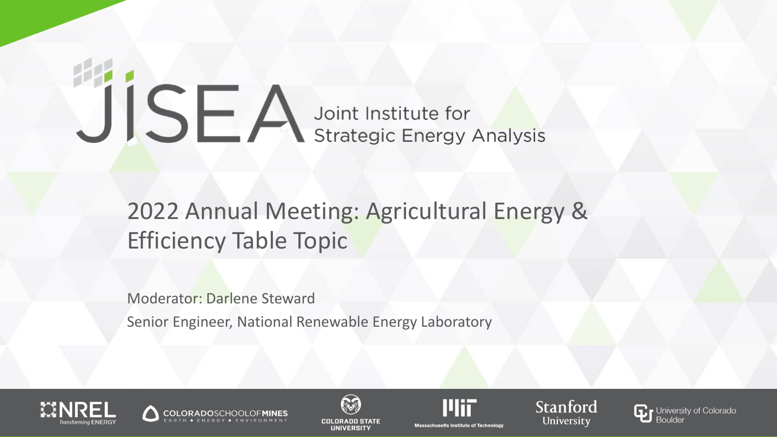# JISEA Joint Institute for

# 2022 Annual Meeting: Agricultural Energy & Efficiency Table Topic

Moderator: Darlene Steward

Senior Engineer, National Renewable Energy Laboratory









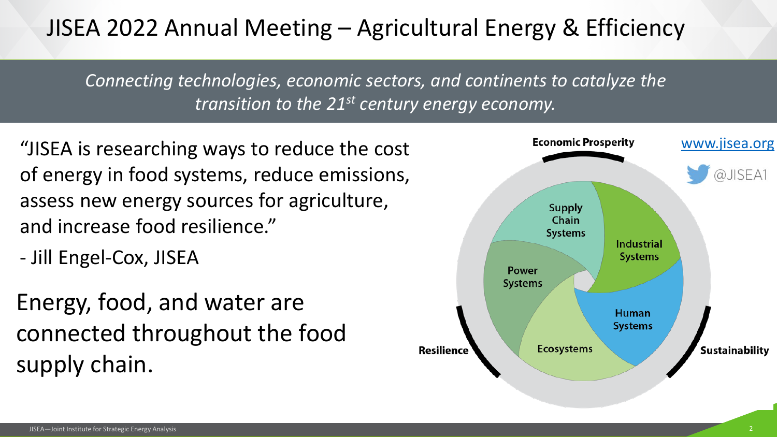# JISEA 2022 Annual Meeting – Agricultural Energy & Efficiency

*Connecting technologies, economic sectors, and continents to catalyze the transition to the 21st century energy economy.*

"JISEA is researching ways to reduce the cost of energy in food systems, reduce emissions, assess new energy sources for agriculture, and increase food resilience."

- Jill Engel-Cox, JISEA

Energy, food, and water are connected throughout the food supply chain.

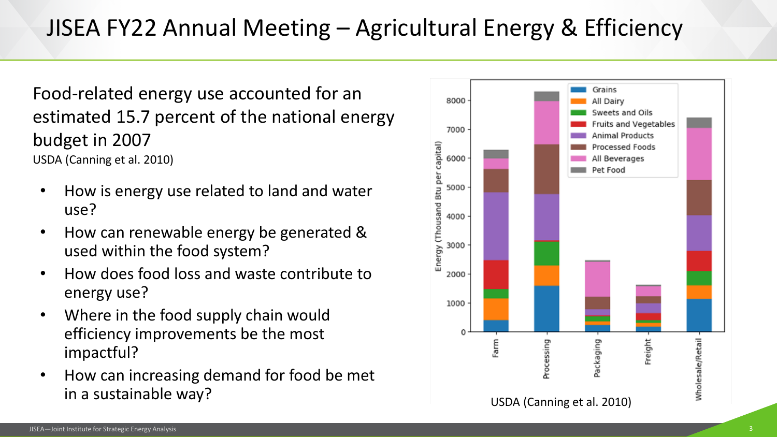Food-related energy use accounted for an estimated 15.7 percent of the national energy budget in 2007 USDA (Canning et al. 2010)

- How is energy use related to land and water use?
- How can renewable energy be generated & used within the food system?
- How does food loss and waste contribute to energy use?
- Where in the food supply chain would efficiency improvements be the most impactful?
- How can increasing demand for food be met in a sustainable way?

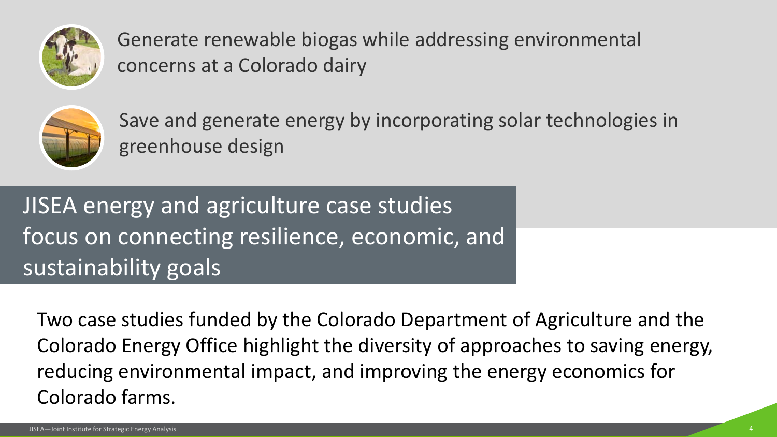

Generate renewable biogas while addressing environmental concerns at a Colorado dairy



Save and generate energy by incorporating solar technologies in greenhouse design

JISEA energy and agriculture case studies focus on connecting resilience, economic, and sustainability goals

Two case studies funded by the Colorado Department of Agriculture and the Colorado Energy Office highlight the diversity of approaches to saving energy, reducing environmental impact, and improving the energy economics for Colorado farms.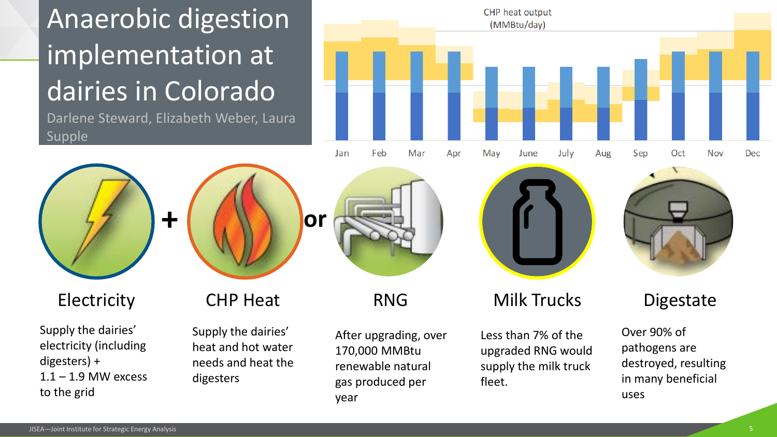# Anaerobic digestion implementation at dairies in Colorado

Darlene Steward, Elizabeth Weber, Laura Supple





Supply the dairies' electricity (including digesters) +  $1.1 - 1.9$  MW excess to the grid

Supply the dairies' heat and hot water needs and heat the digesters

After upgrading, over 170,000 MMBtu renewable natural gas produced per year







Electricity CHP Heat RNG Milk Trucks Digestate

Less than 7% of the upgraded RNG would supply the milk truck fleet.

Over 90% of pathogens are destroyed, resulting in many beneficial uses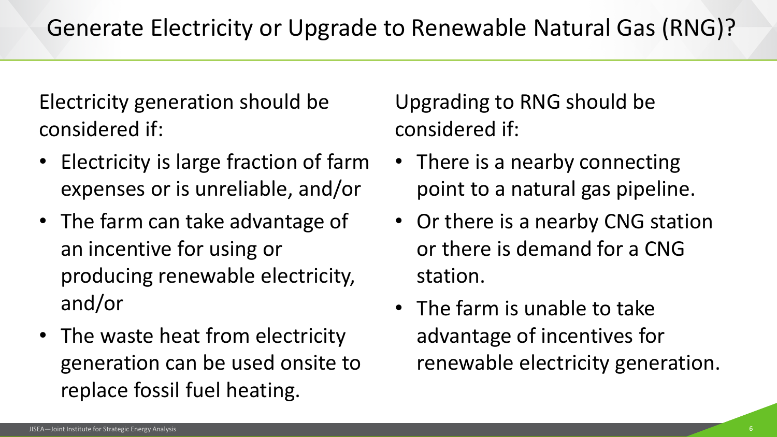Electricity generation should be considered if:

- Electricity is large fraction of farm expenses or is unreliable, and/or
- The farm can take advantage of an incentive for using or producing renewable electricity, and/or
- The waste heat from electricity generation can be used onsite to replace fossil fuel heating.

Upgrading to RNG should be considered if:

- There is a nearby connecting point to a natural gas pipeline.
- Or there is a nearby CNG station or there is demand for a CNG station.
- The farm is unable to take advantage of incentives for renewable electricity generation.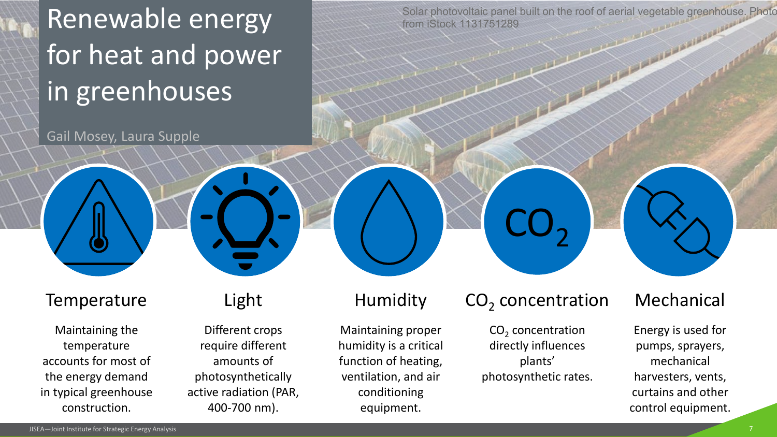Renewable energy for heat and power in greenhouses

Gail Mosey, Laura Supple

Solar photovoltaic panel built on the roof of aerial vegetable greenhouse. Photo from iStock 1131751289

#### **Temperature**

Maintaining the temperature accounts for most of the energy demand in typical greenhouse construction.

### Light

Different crops require different amounts of photosynthetically active radiation (PAR, 400-700 nm).

## Humidity

Maintaining proper humidity is a critical function of heating, ventilation, and air conditioning equipment.

## CO<sub>2</sub> concentration

 $CO<sub>2</sub>$ 

 $CO<sub>2</sub>$  concentration directly influences plants' photosynthetic rates.

## Mechanical

Energy is used for pumps, sprayers, mechanical harvesters, vents, curtains and other control equipment.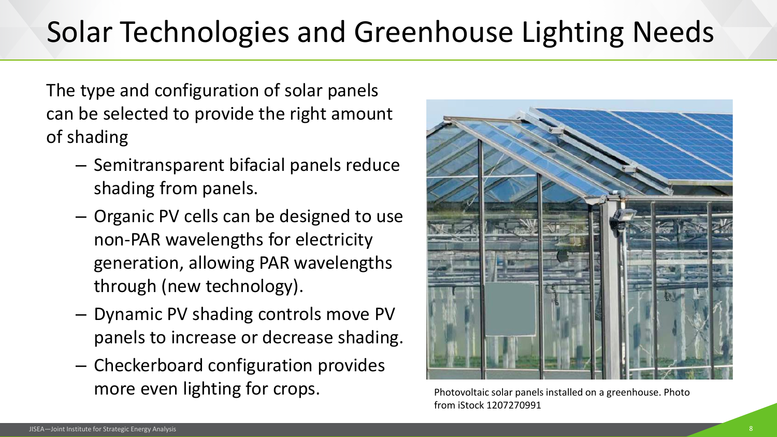# Solar Technologies and Greenhouse Lighting Needs

The type and configuration of solar panels can be selected to provide the right amount of shading

- Semitransparent bifacial panels reduce shading from panels.
- Organic PV cells can be designed to use non-PAR wavelengths for electricity generation, allowing PAR wavelengths through (new technology).
- Dynamic PV shading controls move PV panels to increase or decrease shading.
- Checkerboard configuration provides more even lighting for crops.

Photovoltaic solar panels installed on a greenhouse. Photo from iStock 1207270991

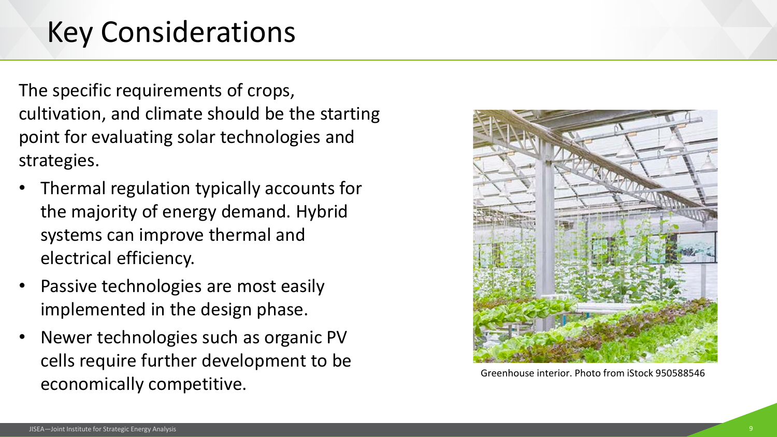# Key Considerations

The specific requirements of crops, cultivation, and climate should be the starting point for evaluating solar technologies and strategies.

- Thermal regulation typically accounts for the majority of energy demand. Hybrid systems can improve thermal and electrical efficiency.
- Passive technologies are most easily implemented in the design phase.
- Newer technologies such as organic PV cells require further development to be economically competitive.



Greenhouse interior. Photo from iStock 950588546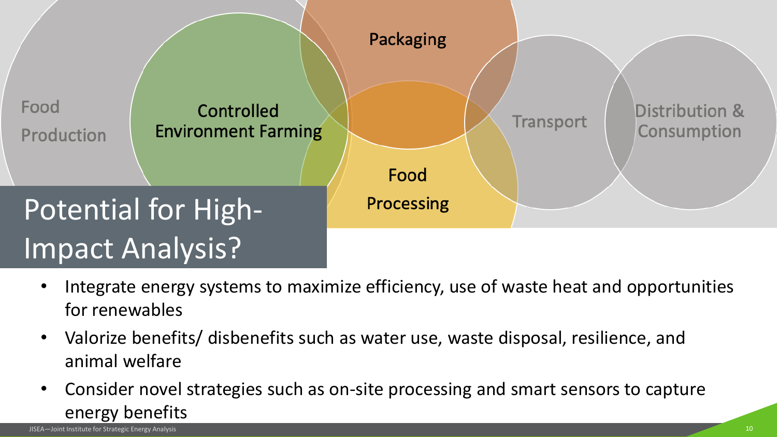

- Integrate energy systems to maximize efficiency, use of waste heat and opportunities for renewables
- Valorize benefits/ disbenefits such as water use, waste disposal, resilience, and animal welfare
- Consider novel strategies such as on-site processing and smart sensors to capture energy benefits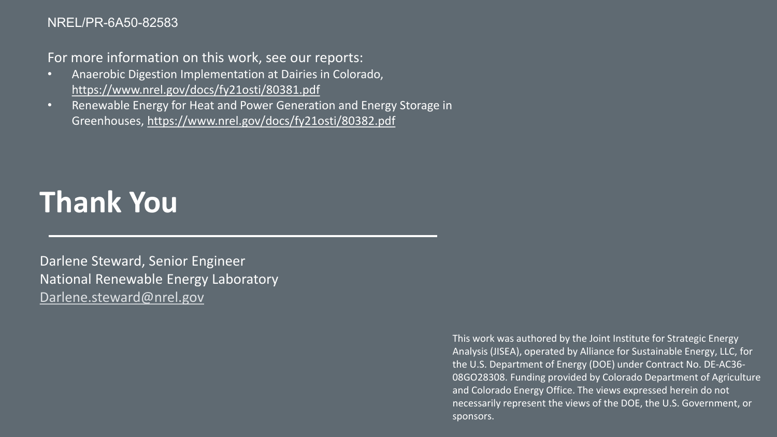#### NREL/PR-6A50-82583

For more information on this work, see our reports:

- Anaerobic Digestion Implementation at Dairies in Colorado, <https://www.nrel.gov/docs/fy21osti/80381.pdf>
- Renewable Energy for Heat and Power Generation and Energy Storage in Greenhouses,<https://www.nrel.gov/docs/fy21osti/80382.pdf>

# **Thank You**

Darlene Steward, Senior Engineer National Renewable Energy Laboratory [Darlene.steward@nrel.gov](mailto:Darlene.steward@nrel.gov)

> This work was authored by the Joint Institute for Strategic Energy Analysis (JISEA), operated by Alliance for Sustainable Energy, LLC, for the U.S. Department of Energy (DOE) under Contract No. DE-AC36- 08GO28308. Funding provided by Colorado Department of Agriculture and Colorado Energy Office. The views expressed herein do not necessarily represent the views of the DOE, the U.S. Government, or sponsors.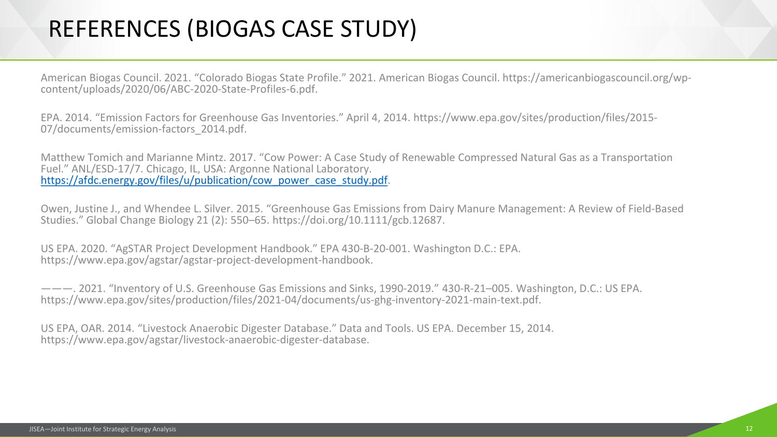## REFERENCES (BIOGAS CASE STUDY)

American Biogas Council. 2021. "Colorado Biogas State Profile." 2021. American Biogas Council. https://americanbiogascouncil.org/wp- content/uploads/2020/06/ABC-2020-State-Profiles-6.pdf.

EPA. 2014. "Emission Factors for Greenhouse Gas Inventories." April 4, 2014. https://www.epa.gov/sites/production/files/2015-<br>07/documents/emission-factors\_2014.pdf.

Matthew Tomich and Marianne Mintz. 2017. "Cow Power: A Case Study of Renewable Compressed Natural Gas as a Transportation Fuel." ANL/ESD-17/7. Chicago, IL, USA: Argonne National Laboratory. [https://afdc.energy.gov/files/u/publication/cow\\_power\\_case\\_study.pdf](https://afdc.energy.gov/files/u/publication/cow_power_case_study.pdf).

Owen, Justine J., and Whendee L. Silver. 2015. "Greenhouse Gas Emissions from Dairy Manure Management: A Review of Field-Based Studies." Global Change Biology 21 (2): 550–65. https://doi.org/10.1111/gcb.12687.

US EPA. 2020. "AgSTAR Project Development Handbook." EPA 430-B-20-001. Washington D.C.: EPA. https://www.epa.gov/agstar/agstar-project-development-handbook.

———. 2021. "Inventory of U.S. Greenhouse Gas Emissions and Sinks, 1990-2019." 430-R-21–005. Washington, D.C.: US EPA. https://www.epa.gov/sites/production/files/2021-04/documents/us-ghg-inventory-2021-main-text.pdf.

US EPA, OAR. 2014. "Livestock Anaerobic Digester Database." Data and Tools. US EPA. December 15, 2014. https://www.epa.gov/agstar/livestock-anaerobic-digester-database.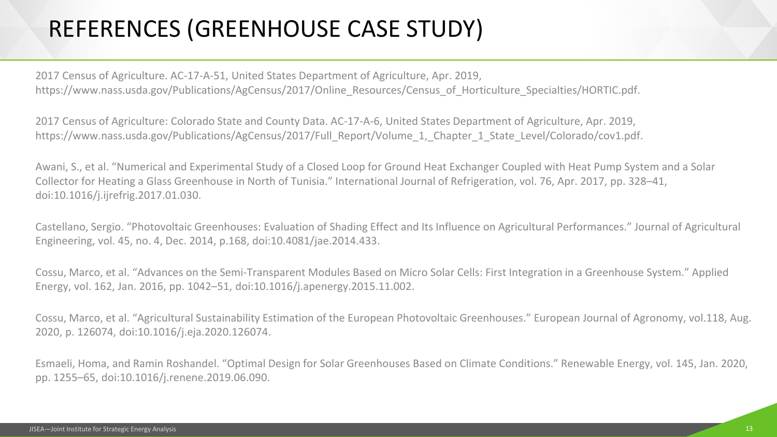# REFERENCES (GREENHOUSE CASE STUDY)

2017 Census of Agriculture. AC-17-A-51, United States Department of Agriculture, Apr. 2019, https://www.nass.usda.gov/Publications/AgCensus/2017/Online\_Resources/Census\_of\_Horticulture\_Specialties/HORTIC.pdf.

2017 Census of Agriculture: Colorado State and County Data. AC-17-A-6, United States Department of Agriculture, Apr. 2019, https://www.nass.usda.gov/Publications/AgCensus/2017/Full\_Report/Volume\_1,\_Chapter\_1\_State\_Level/Colorado/cov1.pdf.

Awani, S., et al. "Numerical and Experimental Study of a Closed Loop for Ground Heat Exchanger Coupled with Heat Pump System and a Solar Collector for Heating a Glass Greenhouse in North of Tunisia." International Journal of Refrigeration, vol. 76, Apr. 2017, pp. 328–41, doi:10.1016/j.ijrefrig.2017.01.030.

Castellano, Sergio. "Photovoltaic Greenhouses: Evaluation of Shading Effect and Its Influence on Agricultural Performances." Journal of Agricultural Engineering, vol. 45, no. 4, Dec. 2014, p.168, doi:10.4081/jae.2014.433.

Cossu, Marco, et al. "Advances on the Semi-Transparent Modules Based on Micro Solar Cells: First Integration in a Greenhouse System." Applied Energy, vol. 162, Jan. 2016, pp. 1042–51, doi:10.1016/j.apenergy.2015.11.002.

Cossu, Marco, et al. "Agricultural Sustainability Estimation of the European Photovoltaic Greenhouses." European Journal of Agronomy, vol.118, Aug. 2020, p. 126074, doi:10.1016/j.eja.2020.126074.

Esmaeli, Homa, and Ramin Roshandel. "Optimal Design for Solar Greenhouses Based on Climate Conditions." Renewable Energy, vol. 145, Jan. 2020, pp. 1255–65, doi:10.1016/j.renene.2019.06.090.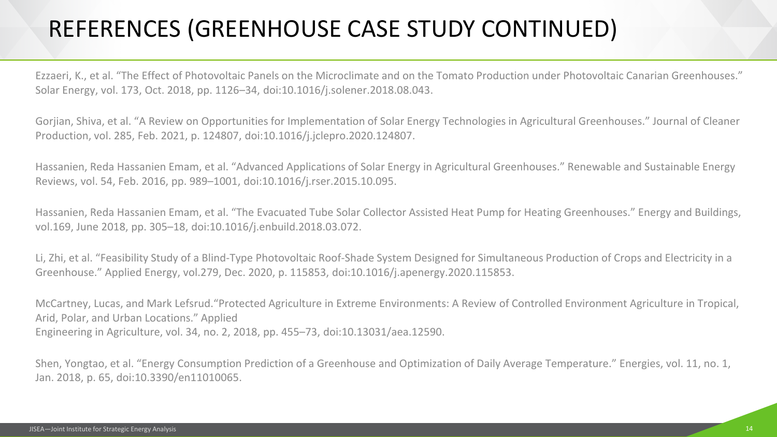# REFERENCES (GREENHOUSE CASE STUDY CONTINUED)

Ezzaeri, K., et al. "The Effect of Photovoltaic Panels on the Microclimate and on the Tomato Production under Photovoltaic Canarian Greenhouses." Solar Energy, vol. 173, Oct. 2018, pp. 1126–34, doi:10.1016/j.solener.2018.08.043.

Gorjian, Shiva, et al. "A Review on Opportunities for Implementation of Solar Energy Technologies in Agricultural Greenhouses." Journal of Cleaner Production, vol. 285, Feb. 2021, p. 124807, doi:10.1016/j.jclepro.2020.124807.

Hassanien, Reda Hassanien Emam, et al. "Advanced Applications of Solar Energy in Agricultural Greenhouses." Renewable and Sustainable Energy Reviews, vol. 54, Feb. 2016, pp. 989–1001, doi:10.1016/j.rser.2015.10.095.

Hassanien, Reda Hassanien Emam, et al. "The Evacuated Tube Solar Collector Assisted Heat Pump for Heating Greenhouses." Energy and Buildings, vol.169, June 2018, pp. 305–18, doi:10.1016/j.enbuild.2018.03.072.

Li, Zhi, et al. "Feasibility Study of a Blind-Type Photovoltaic Roof-Shade System Designed for Simultaneous Production of Crops and Electricity in a Greenhouse." Applied Energy, vol.279, Dec. 2020, p. 115853, doi:10.1016/j.apenergy.2020.115853.

McCartney, Lucas, and Mark Lefsrud."Protected Agriculture in Extreme Environments: A Review of Controlled Environment Agriculture in Tropical, Arid, Polar, and Urban Locations." Applied Engineering in Agriculture, vol. 34, no. 2, 2018, pp. 455–73, doi:10.13031/aea.12590.

Shen, Yongtao, et al. "Energy Consumption Prediction of a Greenhouse and Optimization of Daily Average Temperature." Energies, vol. 11, no. 1, Jan. 2018, p. 65, doi:10.3390/en11010065.